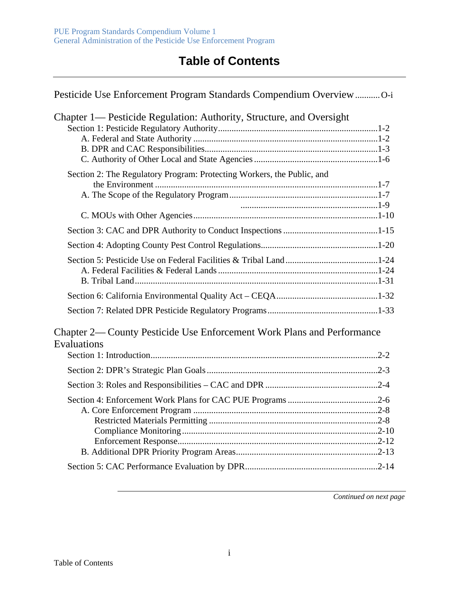## **Table of Contents**

| Pesticide Use Enforcement Program Standards Compendium Overview O-i                   |  |
|---------------------------------------------------------------------------------------|--|
| Chapter 1— Pesticide Regulation: Authority, Structure, and Oversight                  |  |
| Section 2: The Regulatory Program: Protecting Workers, the Public, and                |  |
|                                                                                       |  |
|                                                                                       |  |
|                                                                                       |  |
|                                                                                       |  |
|                                                                                       |  |
|                                                                                       |  |
| Chapter 2— County Pesticide Use Enforcement Work Plans and Performance<br>Evaluations |  |
|                                                                                       |  |
|                                                                                       |  |
|                                                                                       |  |
|                                                                                       |  |
|                                                                                       |  |

*Continued on next page*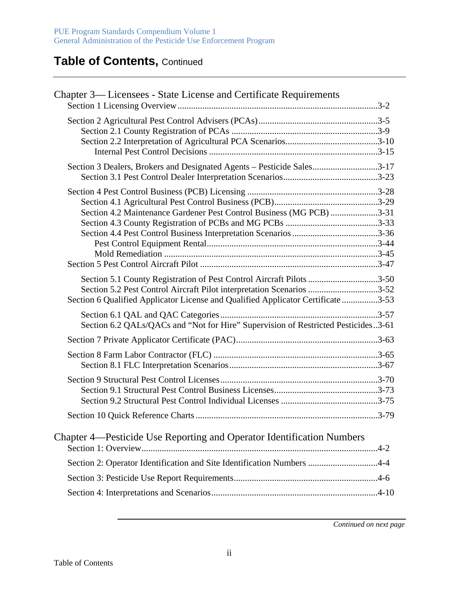## **Table of Contents,** Continued

| Chapter 3— Licensees - State License and Certificate Requirements                                                                                                                                                                 |  |
|-----------------------------------------------------------------------------------------------------------------------------------------------------------------------------------------------------------------------------------|--|
|                                                                                                                                                                                                                                   |  |
| Section 3 Dealers, Brokers and Designated Agents - Pesticide Sales3-17                                                                                                                                                            |  |
| Section 4.2 Maintenance Gardener Pest Control Business (MG PCB) 3-31                                                                                                                                                              |  |
| Section 5.1 County Registration of Pest Control Aircraft Pilots 3-50<br>Section 5.2 Pest Control Aircraft Pilot interpretation Scenarios 3-52<br>Section 6 Qualified Applicator License and Qualified Applicator Certificate 3-53 |  |
| Section 6.2 QALs/QACs and "Not for Hire" Supervision of Restricted Pesticides3-61                                                                                                                                                 |  |
|                                                                                                                                                                                                                                   |  |
|                                                                                                                                                                                                                                   |  |
|                                                                                                                                                                                                                                   |  |
|                                                                                                                                                                                                                                   |  |
| Chapter 4—Pesticide Use Reporting and Operator Identification Numbers                                                                                                                                                             |  |
| Section 2: Operator Identification and Site Identification Numbers 4-4                                                                                                                                                            |  |
|                                                                                                                                                                                                                                   |  |
|                                                                                                                                                                                                                                   |  |
|                                                                                                                                                                                                                                   |  |

*Continued on next page*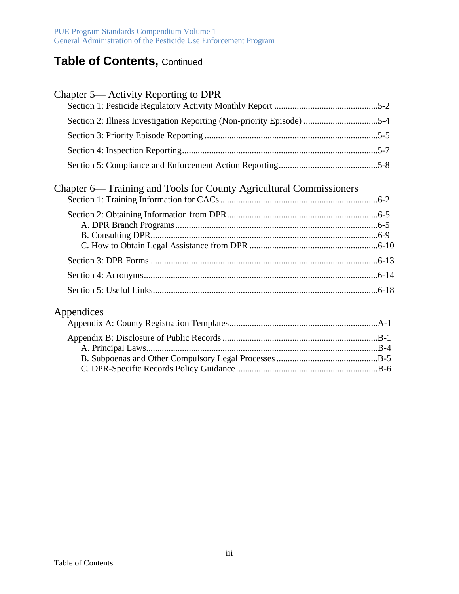## **Table of Contents,** Continued

| Chapter 5— Activity Reporting to DPR                                  |  |
|-----------------------------------------------------------------------|--|
|                                                                       |  |
| Section 2: Illness Investigation Reporting (Non-priority Episode) 5-4 |  |
|                                                                       |  |
|                                                                       |  |
|                                                                       |  |
| Chapter 6— Training and Tools for County Agricultural Commissioners   |  |
|                                                                       |  |
|                                                                       |  |
|                                                                       |  |
|                                                                       |  |
|                                                                       |  |
|                                                                       |  |
|                                                                       |  |
|                                                                       |  |
| Appendices                                                            |  |
|                                                                       |  |
|                                                                       |  |
|                                                                       |  |
|                                                                       |  |
|                                                                       |  |